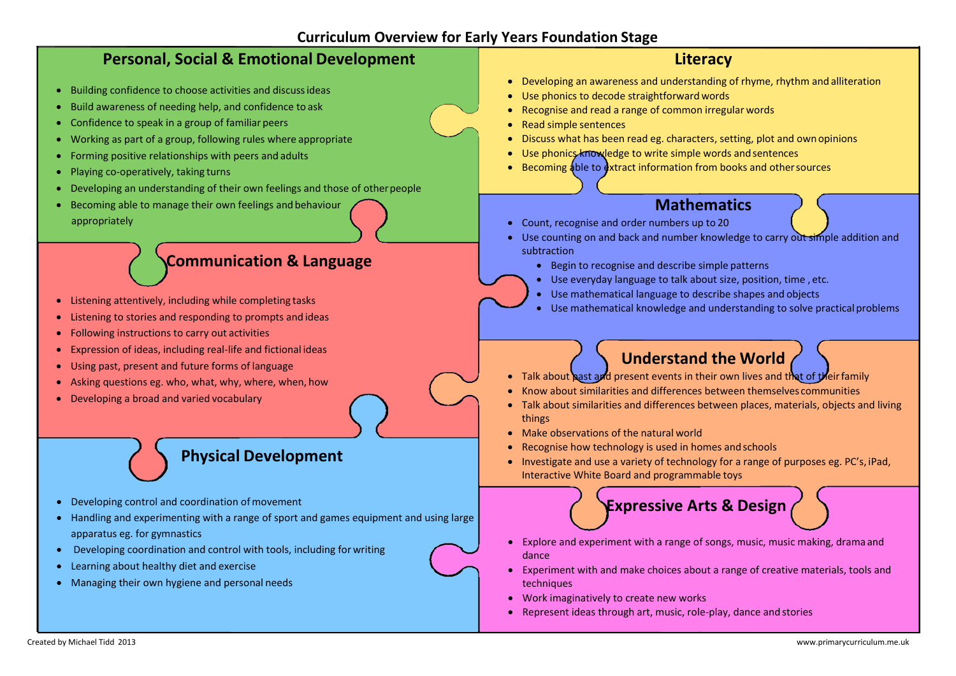Created by Michael Tidd 2013 [www.primarycurriculum.me.uk](http://www.primarycurriculum.me.uk/)

## **Curriculum Overview for Early Years Foundation Stage**

## **Personal, Social & Emotional Development** Building confidence to choose activities and discussideas Build awareness of needing help, and confidence to ask Confidence to speak in a group of familiar peers Working as part of a group, following rules where appropriate Forming positive relationships with peers and adults Playing co-operatively, taking turns Developing an understanding of their own feelings and those of other people Becoming able to manage their own feelings and behaviour appropriately **Literacy** Developing an awareness and understanding of rhyme, rhythm and alliteration Use phonics to decode straightforward words Recognise and read a range of common irregular words Read simple sentences Discuss what has been read eg. characters, setting, plot and ownopinions Use phonics knowledge to write simple words and sentences Becoming able to extract information from books and other sources **Mathematics** Count, recognise and order numbers up to 20 Use counting on and back and number knowledge to carry out simple addition and subtraction ● Begin to recognise and describe simple patterns Use everyday language to talk about size, position, time , etc. Use mathematical language to describe shapes and objects Use mathematical knowledge and understanding to solve practical problems **Communication & Language** Listening attentively, including while completing tasks Listening to stories and responding to prompts and ideas Following instructions to carry out activities Expression of ideas, including real-life and fictional ideas Using past, present and future forms of language • Asking questions eg. who, what, why, where, when, how Developing a broad and varied vocabulary **Understand the World** • Talk about past and present events in their own lives and that of their family Know about similarities and differences between themselves communities Talk about similarities and differences between places, materials, objects and living things Make observations of the natural world Recognise how technology is used in homes andschools • Investigate and use a variety of technology for a range of purposes eg. PC's, iPad, Interactive White Board and programmable toys **Physical Development** • Developing control and coordination of movement Handling and experimenting with a range of sport and games equipment and using large apparatus eg. for gymnastics **Expressive Arts & Design**

Developing coordination and control with tools, including for writing

Learning about healthy diet and exercise

Managing their own hygiene and personal needs

- 
- 



- Explore and experiment with a range of songs, music, music making, dramaand dance
- Experiment with and make choices about a range of creative materials, tools and techniques
- Work imaginatively to create new works
- Represent ideas through art, music, role-play, dance and stories